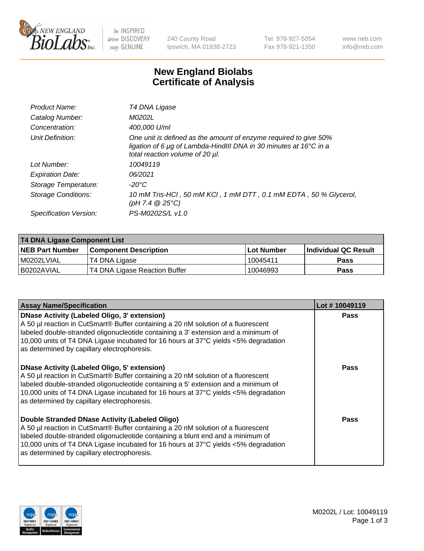

be INSPIRED drive DISCOVERY stay GENUINE

240 County Road Ipswich, MA 01938-2723 Tel 978-927-5054 Fax 978-921-1350 www.neb.com info@neb.com

## **New England Biolabs Certificate of Analysis**

| Product Name:              | T4 DNA Ligase                                                                                                                                                                           |
|----------------------------|-----------------------------------------------------------------------------------------------------------------------------------------------------------------------------------------|
| Catalog Number:            | M0202L                                                                                                                                                                                  |
| Concentration:             | 400,000 U/ml                                                                                                                                                                            |
| Unit Definition:           | One unit is defined as the amount of enzyme required to give 50%<br>ligation of 6 $\mu$ g of Lambda-HindIII DNA in 30 minutes at 16 $\degree$ C in a<br>total reaction volume of 20 µl. |
| Lot Number:                | 10049119                                                                                                                                                                                |
| <b>Expiration Date:</b>    | 06/2021                                                                                                                                                                                 |
| Storage Temperature:       | -20°C                                                                                                                                                                                   |
| <b>Storage Conditions:</b> | 10 mM Tris-HCl, 50 mM KCl, 1 mM DTT, 0.1 mM EDTA, 50 % Glycerol,<br>(pH 7.4 $@25°C$ )                                                                                                   |
| Specification Version:     | PS-M0202S/L v1.0                                                                                                                                                                        |

| T4 DNA Ligase Component List |                               |                   |                      |  |  |
|------------------------------|-------------------------------|-------------------|----------------------|--|--|
| <b>NEB Part Number</b>       | <b>Component Description</b>  | <b>Lot Number</b> | Individual QC Result |  |  |
| I M0202LVIAL                 | T4 DNA Ligase                 | 10045411          | <b>Pass</b>          |  |  |
| I B0202AVIAL                 | T4 DNA Ligase Reaction Buffer | 10046993          | <b>Pass</b>          |  |  |

| <b>Assay Name/Specification</b>                                                                                                                                                                                                                                                                                                                                      | Lot #10049119 |
|----------------------------------------------------------------------------------------------------------------------------------------------------------------------------------------------------------------------------------------------------------------------------------------------------------------------------------------------------------------------|---------------|
| <b>DNase Activity (Labeled Oligo, 3' extension)</b><br>A 50 µl reaction in CutSmart® Buffer containing a 20 nM solution of a fluorescent<br>labeled double-stranded oligonucleotide containing a 3' extension and a minimum of<br>10,000 units of T4 DNA Ligase incubated for 16 hours at 37°C yields <5% degradation<br>as determined by capillary electrophoresis. | <b>Pass</b>   |
| <b>DNase Activity (Labeled Oligo, 5' extension)</b><br>A 50 µl reaction in CutSmart® Buffer containing a 20 nM solution of a fluorescent<br>labeled double-stranded oligonucleotide containing a 5' extension and a minimum of<br>10,000 units of T4 DNA Ligase incubated for 16 hours at 37°C yields <5% degradation<br>as determined by capillary electrophoresis. | Pass          |
| Double Stranded DNase Activity (Labeled Oligo)<br>A 50 µl reaction in CutSmart® Buffer containing a 20 nM solution of a fluorescent<br>labeled double-stranded oligonucleotide containing a blunt end and a minimum of<br>10,000 units of T4 DNA Ligase incubated for 16 hours at 37°C yields <5% degradation<br>as determined by capillary electrophoresis.         | Pass          |

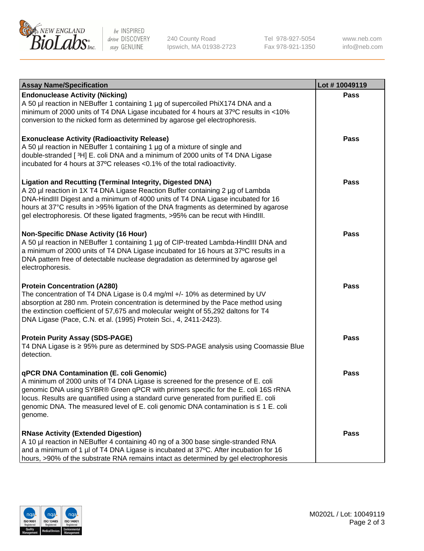

be INSPIRED drive DISCOVERY stay GENUINE

240 County Road Ipswich, MA 01938-2723 Tel 978-927-5054 Fax 978-921-1350

www.neb.com info@neb.com

| <b>Assay Name/Specification</b>                                                                                                                                                                                                                                                                                                                                                                                    | Lot #10049119 |
|--------------------------------------------------------------------------------------------------------------------------------------------------------------------------------------------------------------------------------------------------------------------------------------------------------------------------------------------------------------------------------------------------------------------|---------------|
| <b>Endonuclease Activity (Nicking)</b><br>A 50 µl reaction in NEBuffer 1 containing 1 µg of supercoiled PhiX174 DNA and a<br>minimum of 2000 units of T4 DNA Ligase incubated for 4 hours at 37°C results in <10%<br>conversion to the nicked form as determined by agarose gel electrophoresis.                                                                                                                   | <b>Pass</b>   |
| <b>Exonuclease Activity (Radioactivity Release)</b><br>A 50 µl reaction in NEBuffer 1 containing 1 µg of a mixture of single and<br>double-stranded [3H] E. coli DNA and a minimum of 2000 units of T4 DNA Ligase<br>incubated for 4 hours at 37°C releases <0.1% of the total radioactivity.                                                                                                                      | <b>Pass</b>   |
| <b>Ligation and Recutting (Terminal Integrity, Digested DNA)</b><br>A 20 µl reaction in 1X T4 DNA Ligase Reaction Buffer containing 2 µg of Lambda<br>DNA-HindIII Digest and a minimum of 4000 units of T4 DNA Ligase incubated for 16<br>hours at 37°C results in >95% ligation of the DNA fragments as determined by agarose<br>gel electrophoresis. Of these ligated fragments, >95% can be recut with HindIII. | <b>Pass</b>   |
| <b>Non-Specific DNase Activity (16 Hour)</b><br>A 50 µl reaction in NEBuffer 1 containing 1 µg of CIP-treated Lambda-HindIII DNA and<br>a minimum of 2000 units of T4 DNA Ligase incubated for 16 hours at 37°C results in a<br>DNA pattern free of detectable nuclease degradation as determined by agarose gel<br>electrophoresis.                                                                               | <b>Pass</b>   |
| <b>Protein Concentration (A280)</b><br>The concentration of T4 DNA Ligase is 0.4 mg/ml +/- 10% as determined by UV<br>absorption at 280 nm. Protein concentration is determined by the Pace method using<br>the extinction coefficient of 57,675 and molecular weight of 55,292 daltons for T4<br>DNA Ligase (Pace, C.N. et al. (1995) Protein Sci., 4, 2411-2423).                                                | <b>Pass</b>   |
| <b>Protein Purity Assay (SDS-PAGE)</b><br>T4 DNA Ligase is ≥ 95% pure as determined by SDS-PAGE analysis using Coomassie Blue<br>detection.                                                                                                                                                                                                                                                                        | <b>Pass</b>   |
| qPCR DNA Contamination (E. coli Genomic)<br>A minimum of 2000 units of T4 DNA Ligase is screened for the presence of E. coli<br>genomic DNA using SYBR® Green qPCR with primers specific for the E. coli 16S rRNA<br>locus. Results are quantified using a standard curve generated from purified E. coli<br>genomic DNA. The measured level of E. coli genomic DNA contamination is ≤ 1 E. coli<br>genome.        | Pass          |
| <b>RNase Activity (Extended Digestion)</b><br>A 10 µl reaction in NEBuffer 4 containing 40 ng of a 300 base single-stranded RNA<br>and a minimum of 1 µl of T4 DNA Ligase is incubated at 37°C. After incubation for 16<br>hours, >90% of the substrate RNA remains intact as determined by gel electrophoresis                                                                                                    | <b>Pass</b>   |